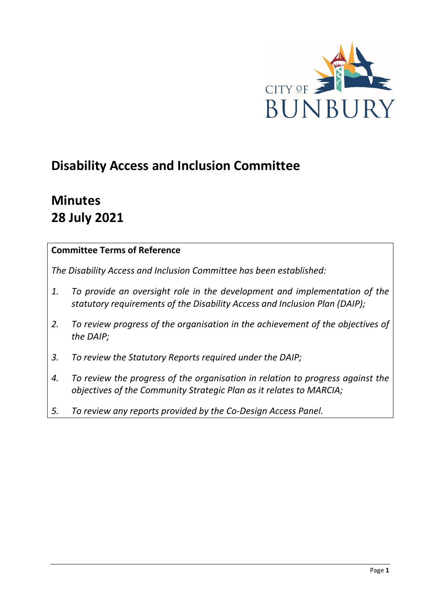

# **Disability Access and Inclusion Committee**

# **Minutes 28 July 2021**

# **Committee Terms of Reference**

*The Disability Access and Inclusion Committee has been established:* 

- *1. To provide an oversight role in the development and implementation of the statutory requirements of the Disability Access and Inclusion Plan (DAIP);*
- *2. To review progress of the organisation in the achievement of the objectives of the DAIP;*
- *3. To review the Statutory Reports required under the DAIP;*
- *4. To review the progress of the organisation in relation to progress against the objectives of the Community Strategic Plan as it relates to MARCIA;*
- *5. To review any reports provided by the Co-Design Access Panel.*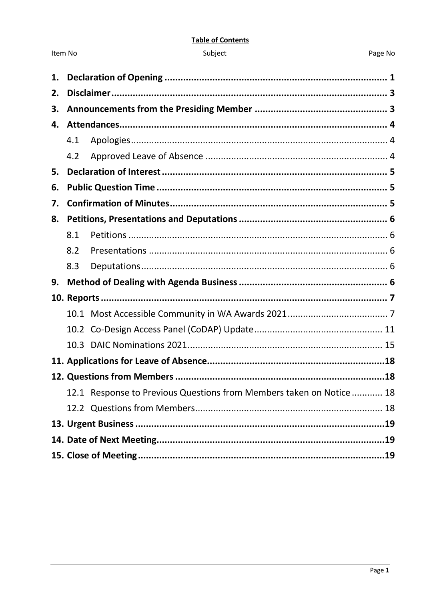#### **Table of Contents**

| ubie |  |
|------|--|
|      |  |
|      |  |

Item No

#### Page No

| 1. |     |                                                                     |  |
|----|-----|---------------------------------------------------------------------|--|
| 2. |     |                                                                     |  |
| 3. |     |                                                                     |  |
| 4. |     |                                                                     |  |
|    | 4.1 |                                                                     |  |
|    | 4.2 |                                                                     |  |
| 5. |     |                                                                     |  |
| 6. |     |                                                                     |  |
| 7. |     |                                                                     |  |
| 8. |     |                                                                     |  |
|    | 8.1 |                                                                     |  |
|    | 8.2 |                                                                     |  |
|    | 8.3 |                                                                     |  |
| 9. |     |                                                                     |  |
|    |     |                                                                     |  |
|    |     |                                                                     |  |
|    |     |                                                                     |  |
|    |     |                                                                     |  |
|    |     |                                                                     |  |
|    |     |                                                                     |  |
|    |     | 12.1 Response to Previous Questions from Members taken on Notice 18 |  |
|    |     |                                                                     |  |
|    |     |                                                                     |  |
|    |     |                                                                     |  |
|    |     |                                                                     |  |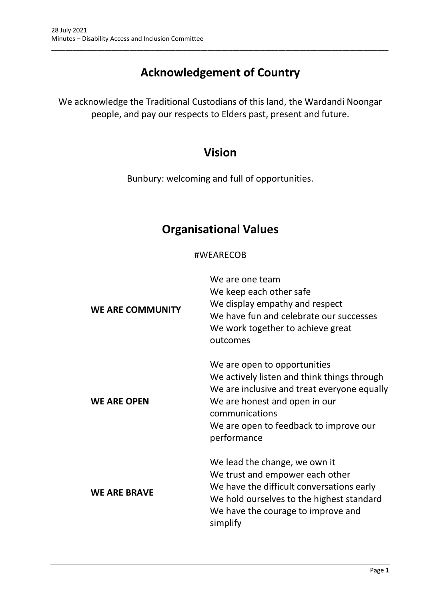# **Acknowledgement of Country**

\_\_\_\_\_\_\_\_\_\_\_\_\_\_\_\_\_\_\_\_\_\_\_\_\_\_\_\_\_\_\_\_\_\_\_\_\_\_\_\_\_\_\_\_\_\_\_\_\_\_\_\_\_\_\_\_\_\_\_\_\_\_\_\_\_\_\_\_\_\_\_\_\_\_\_\_\_\_\_\_\_\_\_\_\_\_\_\_\_\_\_\_\_\_\_

We acknowledge the Traditional Custodians of this land, the Wardandi Noongar people, and pay our respects to Elders past, present and future.

# **Vision**

Bunbury: welcoming and full of opportunities.

# **Organisational Values**

## #WEARECOB

| <b>WE ARE COMMUNITY</b> | We are one team<br>We keep each other safe<br>We display empathy and respect<br>We have fun and celebrate our successes<br>We work together to achieve great<br>outcomes                                                               |
|-------------------------|----------------------------------------------------------------------------------------------------------------------------------------------------------------------------------------------------------------------------------------|
| <b>WE ARE OPEN</b>      | We are open to opportunities<br>We actively listen and think things through<br>We are inclusive and treat everyone equally<br>We are honest and open in our<br>communications<br>We are open to feedback to improve our<br>performance |
| <b>WE ARE BRAVE</b>     | We lead the change, we own it<br>We trust and empower each other<br>We have the difficult conversations early<br>We hold ourselves to the highest standard<br>We have the courage to improve and<br>simplify                           |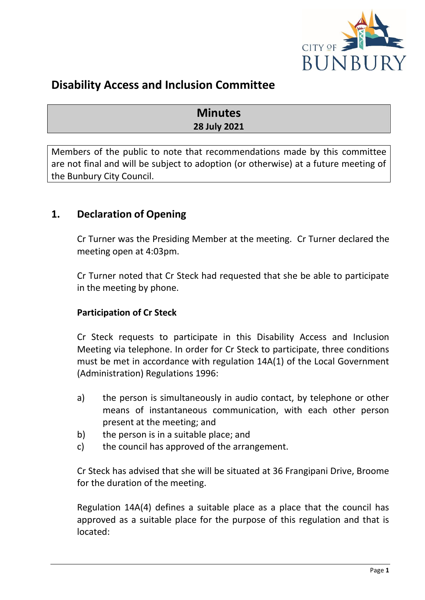

# **Disability Access and Inclusion Committee**

# **Minutes 28 July 2021**

Members of the public to note that recommendations made by this committee are not final and will be subject to adoption (or otherwise) at a future meeting of the Bunbury City Council.

# <span id="page-3-0"></span>**1. Declaration of Opening**

Cr Turner was the Presiding Member at the meeting. Cr Turner declared the meeting open at 4:03pm.

Cr Turner noted that Cr Steck had requested that she be able to participate in the meeting by phone.

# **Participation of Cr Steck**

Cr Steck requests to participate in this Disability Access and Inclusion Meeting via telephone. In order for Cr Steck to participate, three conditions must be met in accordance with regulation 14A(1) of the Local Government (Administration) Regulations 1996:

- a) the person is simultaneously in audio contact, by telephone or other means of instantaneous communication, with each other person present at the meeting; and
- b) the person is in a suitable place; and
- c) the council has approved of the arrangement.

Cr Steck has advised that she will be situated at 36 Frangipani Drive, Broome for the duration of the meeting.

Regulation 14A(4) defines a suitable place as a place that the council has approved as a suitable place for the purpose of this regulation and that is located: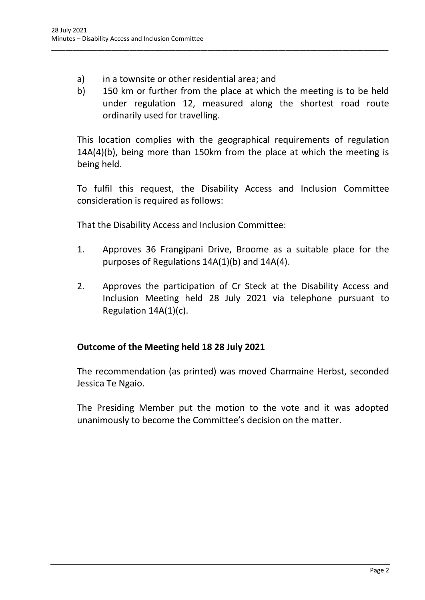- a) in a townsite or other residential area; and
- b) 150 km or further from the place at which the meeting is to be held under regulation 12, measured along the shortest road route ordinarily used for travelling.

\_\_\_\_\_\_\_\_\_\_\_\_\_\_\_\_\_\_\_\_\_\_\_\_\_\_\_\_\_\_\_\_\_\_\_\_\_\_\_\_\_\_\_\_\_\_\_\_\_\_\_\_\_\_\_\_\_\_\_\_\_\_\_\_\_\_\_\_\_\_\_\_\_\_\_\_\_\_\_\_\_\_\_\_\_\_\_\_\_\_\_\_\_\_\_

This location complies with the geographical requirements of regulation 14A(4)(b), being more than 150km from the place at which the meeting is being held.

To fulfil this request, the Disability Access and Inclusion Committee consideration is required as follows:

That the Disability Access and Inclusion Committee:

- 1. Approves 36 Frangipani Drive, Broome as a suitable place for the purposes of Regulations 14A(1)(b) and 14A(4).
- 2. Approves the participation of Cr Steck at the Disability Access and Inclusion Meeting held 28 July 2021 via telephone pursuant to Regulation 14A(1)(c).

## **Outcome of the Meeting held 18 28 July 2021**

The recommendation (as printed) was moved Charmaine Herbst, seconded Jessica Te Ngaio.

The Presiding Member put the motion to the vote and it was adopted unanimously to become the Committee's decision on the matter.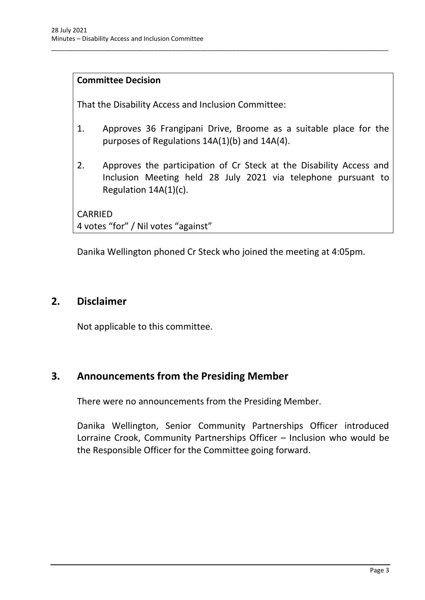## **Committee Decision**

That the Disability Access and Inclusion Committee:

1. Approves 36 Frangipani Drive, Broome as a suitable place for the purposes of Regulations 14A(1)(b) and 14A(4).

\_\_\_\_\_\_\_\_\_\_\_\_\_\_\_\_\_\_\_\_\_\_\_\_\_\_\_\_\_\_\_\_\_\_\_\_\_\_\_\_\_\_\_\_\_\_\_\_\_\_\_\_\_\_\_\_\_\_\_\_\_\_\_\_\_\_\_\_\_\_\_\_\_\_\_\_\_\_\_\_\_\_\_\_\_\_\_\_\_\_\_\_\_\_\_

2. Approves the participation of Cr Steck at the Disability Access and Inclusion Meeting held 28 July 2021 via telephone pursuant to Regulation 14A(1)(c).

CARRIED 4 votes "for" / Nil votes "against"

Danika Wellington phoned Cr Steck who joined the meeting at 4:05pm.

# <span id="page-5-0"></span>**2. Disclaimer**

Not applicable to this committee.

# <span id="page-5-1"></span>**3. Announcements from the Presiding Member**

There were no announcements from the Presiding Member.

Danika Wellington, Senior Community Partnerships Officer introduced Lorraine Crook, Community Partnerships Officer – Inclusion who would be the Responsible Officer for the Committee going forward.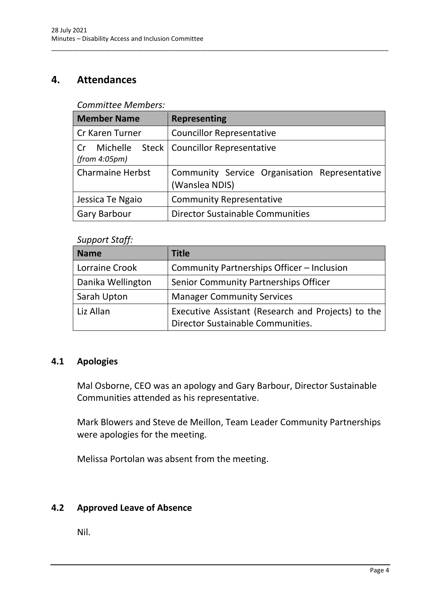# <span id="page-6-0"></span>**4. Attendances**

#### *Committee Members:*

| <b>Member Name</b>                     | <b>Representing</b>                                             |
|----------------------------------------|-----------------------------------------------------------------|
| Cr Karen Turner                        | <b>Councillor Representative</b>                                |
| Michelle<br><b>Cr</b><br>(from 4:05pm) | Steck   Councillor Representative                               |
| <b>Charmaine Herbst</b>                | Community Service Organisation Representative<br>(Wanslea NDIS) |
| Jessica Te Ngaio                       | <b>Community Representative</b>                                 |
| <b>Gary Barbour</b>                    | Director Sustainable Communities                                |

\_\_\_\_\_\_\_\_\_\_\_\_\_\_\_\_\_\_\_\_\_\_\_\_\_\_\_\_\_\_\_\_\_\_\_\_\_\_\_\_\_\_\_\_\_\_\_\_\_\_\_\_\_\_\_\_\_\_\_\_\_\_\_\_\_\_\_\_\_\_\_\_\_\_\_\_\_\_\_\_\_\_\_\_\_\_\_\_\_\_\_\_\_\_\_

#### *Support Staff:*

| <b>Name</b>       | <b>Title</b>                                       |
|-------------------|----------------------------------------------------|
| Lorraine Crook    | Community Partnerships Officer - Inclusion         |
| Danika Wellington | Senior Community Partnerships Officer              |
| Sarah Upton       | <b>Manager Community Services</b>                  |
| Liz Allan         | Executive Assistant (Research and Projects) to the |
|                   | Director Sustainable Communities.                  |

## <span id="page-6-1"></span>**4.1 Apologies**

Mal Osborne, CEO was an apology and Gary Barbour, Director Sustainable Communities attended as his representative.

Mark Blowers and Steve de Meillon, Team Leader Community Partnerships were apologies for the meeting.

Melissa Portolan was absent from the meeting.

# <span id="page-6-2"></span>**4.2 Approved Leave of Absence**

Nil.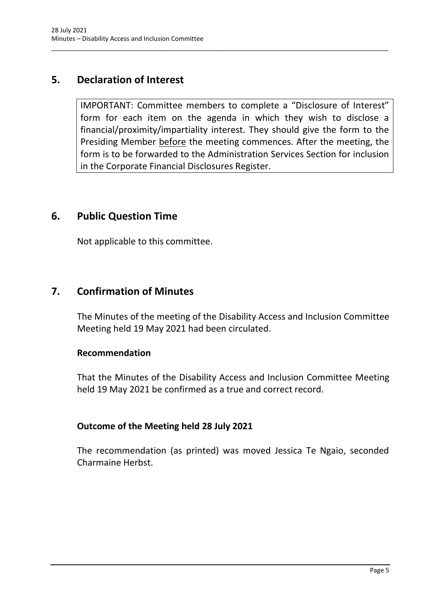# <span id="page-7-0"></span>**5. Declaration of Interest**

IMPORTANT: Committee members to complete a "Disclosure of Interest" form for each item on the agenda in which they wish to disclose a financial/proximity/impartiality interest. They should give the form to the Presiding Member before the meeting commences. After the meeting, the form is to be forwarded to the Administration Services Section for inclusion in the Corporate Financial Disclosures Register.

\_\_\_\_\_\_\_\_\_\_\_\_\_\_\_\_\_\_\_\_\_\_\_\_\_\_\_\_\_\_\_\_\_\_\_\_\_\_\_\_\_\_\_\_\_\_\_\_\_\_\_\_\_\_\_\_\_\_\_\_\_\_\_\_\_\_\_\_\_\_\_\_\_\_\_\_\_\_\_\_\_\_\_\_\_\_\_\_\_\_\_\_\_\_\_

# <span id="page-7-1"></span>**6. Public Question Time**

Not applicable to this committee.

# <span id="page-7-2"></span>**7. Confirmation of Minutes**

The Minutes of the meeting of the Disability Access and Inclusion Committee Meeting held 19 May 2021 had been circulated.

#### **Recommendation**

That the Minutes of the Disability Access and Inclusion Committee Meeting held 19 May 2021 be confirmed as a true and correct record.

## **Outcome of the Meeting held 28 July 2021**

The recommendation (as printed) was moved Jessica Te Ngaio, seconded Charmaine Herbst.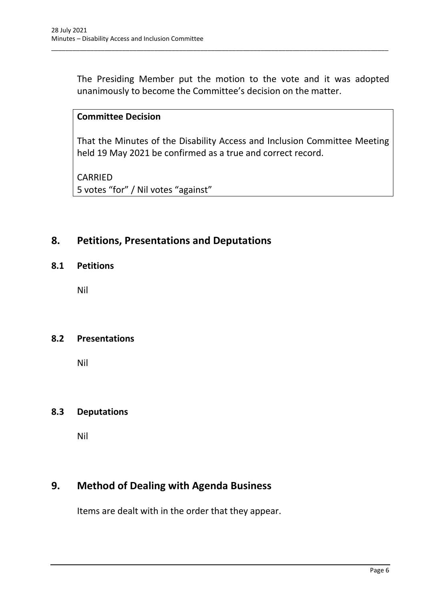The Presiding Member put the motion to the vote and it was adopted unanimously to become the Committee's decision on the matter.

\_\_\_\_\_\_\_\_\_\_\_\_\_\_\_\_\_\_\_\_\_\_\_\_\_\_\_\_\_\_\_\_\_\_\_\_\_\_\_\_\_\_\_\_\_\_\_\_\_\_\_\_\_\_\_\_\_\_\_\_\_\_\_\_\_\_\_\_\_\_\_\_\_\_\_\_\_\_\_\_\_\_\_\_\_\_\_\_\_\_\_\_\_\_\_

## **Committee Decision**

That the Minutes of the Disability Access and Inclusion Committee Meeting held 19 May 2021 be confirmed as a true and correct record.

CARRIED 5 votes "for" / Nil votes "against"

## <span id="page-8-0"></span>**8. Petitions, Presentations and Deputations**

#### <span id="page-8-1"></span>**8.1 Petitions**

Nil

#### <span id="page-8-2"></span>**8.2 Presentations**

Nil

#### <span id="page-8-3"></span>**8.3 Deputations**

Nil

# <span id="page-8-4"></span>**9. Method of Dealing with Agenda Business**

Items are dealt with in the order that they appear.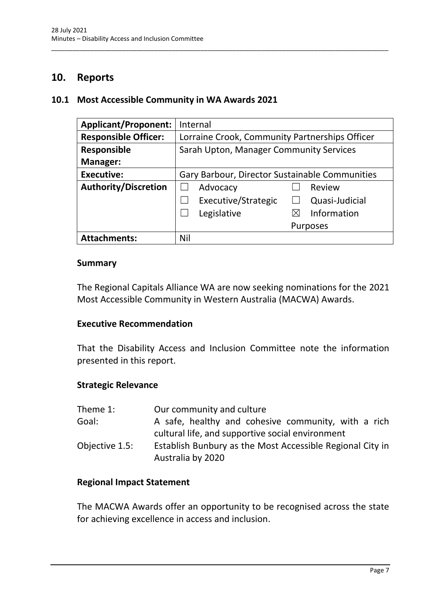# <span id="page-9-0"></span>**10. Reports**

#### <span id="page-9-1"></span>**10.1 Most Accessible Community in WA Awards 2021**

| <b>Applicant/Proponent:</b> | Internal                                       |
|-----------------------------|------------------------------------------------|
| <b>Responsible Officer:</b> | Lorraine Crook, Community Partnerships Officer |
| <b>Responsible</b>          | Sarah Upton, Manager Community Services        |
| Manager:                    |                                                |
| <b>Executive:</b>           | Gary Barbour, Director Sustainable Communities |
| <b>Authority/Discretion</b> | Advocacy<br>Review                             |
|                             | Executive/Strategic<br>Quasi-Judicial          |
|                             | Legislative<br>Information                     |
|                             | <b>Purposes</b>                                |
| <b>Attachments:</b>         | Nil                                            |

\_\_\_\_\_\_\_\_\_\_\_\_\_\_\_\_\_\_\_\_\_\_\_\_\_\_\_\_\_\_\_\_\_\_\_\_\_\_\_\_\_\_\_\_\_\_\_\_\_\_\_\_\_\_\_\_\_\_\_\_\_\_\_\_\_\_\_\_\_\_\_\_\_\_\_\_\_\_\_\_\_\_\_\_\_\_\_\_\_\_\_\_\_\_\_

#### **Summary**

The Regional Capitals Alliance WA are now seeking nominations for the 2021 Most Accessible Community in Western Australia (MACWA) Awards.

#### **Executive Recommendation**

That the Disability Access and Inclusion Committee note the information presented in this report.

#### **Strategic Relevance**

| Theme 1:       | Our community and culture                                                      |
|----------------|--------------------------------------------------------------------------------|
| Goal:          | A safe, healthy and cohesive community, with a rich                            |
|                | cultural life, and supportive social environment                               |
| Objective 1.5: | Establish Bunbury as the Most Accessible Regional City in<br>Australia by 2020 |

#### **Regional Impact Statement**

The MACWA Awards offer an opportunity to be recognised across the state for achieving excellence in access and inclusion.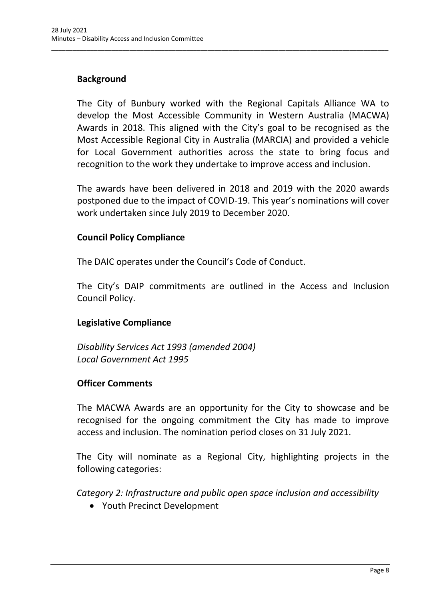## **Background**

The City of Bunbury worked with the Regional Capitals Alliance WA to develop the Most Accessible Community in Western Australia (MACWA) Awards in 2018. This aligned with the City's goal to be recognised as the Most Accessible Regional City in Australia (MARCIA) and provided a vehicle for Local Government authorities across the state to bring focus and recognition to the work they undertake to improve access and inclusion.

\_\_\_\_\_\_\_\_\_\_\_\_\_\_\_\_\_\_\_\_\_\_\_\_\_\_\_\_\_\_\_\_\_\_\_\_\_\_\_\_\_\_\_\_\_\_\_\_\_\_\_\_\_\_\_\_\_\_\_\_\_\_\_\_\_\_\_\_\_\_\_\_\_\_\_\_\_\_\_\_\_\_\_\_\_\_\_\_\_\_\_\_\_\_\_

The awards have been delivered in 2018 and 2019 with the 2020 awards postponed due to the impact of COVID-19. This year's nominations will cover work undertaken since July 2019 to December 2020.

## **Council Policy Compliance**

The DAIC operates under the Council's Code of Conduct.

The City's DAIP commitments are outlined in the Access and Inclusion Council Policy.

## **Legislative Compliance**

*Disability Services Act 1993 (amended 2004) Local Government Act 1995*

#### **Officer Comments**

The MACWA Awards are an opportunity for the City to showcase and be recognised for the ongoing commitment the City has made to improve access and inclusion. The nomination period closes on 31 July 2021.

The City will nominate as a Regional City, highlighting projects in the following categories:

*Category 2: Infrastructure and public open space inclusion and accessibility*

• Youth Precinct Development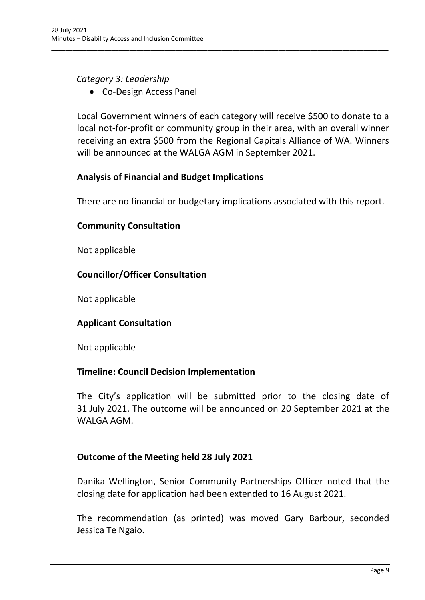## *Category 3: Leadership*

• Co-Design Access Panel

Local Government winners of each category will receive \$500 to donate to a local not-for-profit or community group in their area, with an overall winner receiving an extra \$500 from the Regional Capitals Alliance of WA. Winners will be announced at the WALGA AGM in September 2021.

\_\_\_\_\_\_\_\_\_\_\_\_\_\_\_\_\_\_\_\_\_\_\_\_\_\_\_\_\_\_\_\_\_\_\_\_\_\_\_\_\_\_\_\_\_\_\_\_\_\_\_\_\_\_\_\_\_\_\_\_\_\_\_\_\_\_\_\_\_\_\_\_\_\_\_\_\_\_\_\_\_\_\_\_\_\_\_\_\_\_\_\_\_\_\_

## **Analysis of Financial and Budget Implications**

There are no financial or budgetary implications associated with this report.

## **Community Consultation**

Not applicable

# **Councillor/Officer Consultation**

Not applicable

# **Applicant Consultation**

Not applicable

## **Timeline: Council Decision Implementation**

The City's application will be submitted prior to the closing date of 31 July 2021. The outcome will be announced on 20 September 2021 at the WALGA AGM.

## **Outcome of the Meeting held 28 July 2021**

Danika Wellington, Senior Community Partnerships Officer noted that the closing date for application had been extended to 16 August 2021.

The recommendation (as printed) was moved Gary Barbour, seconded Jessica Te Ngaio.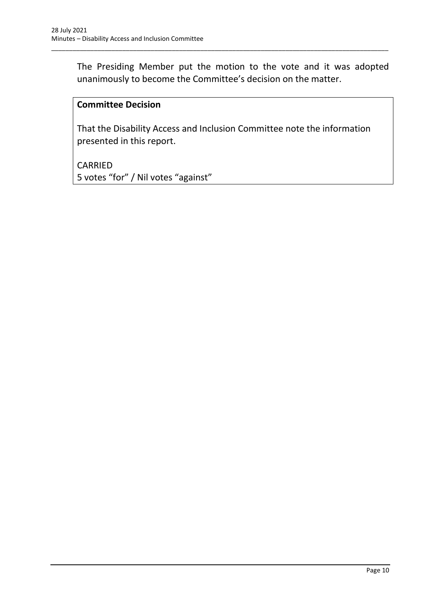The Presiding Member put the motion to the vote and it was adopted unanimously to become the Committee's decision on the matter.

\_\_\_\_\_\_\_\_\_\_\_\_\_\_\_\_\_\_\_\_\_\_\_\_\_\_\_\_\_\_\_\_\_\_\_\_\_\_\_\_\_\_\_\_\_\_\_\_\_\_\_\_\_\_\_\_\_\_\_\_\_\_\_\_\_\_\_\_\_\_\_\_\_\_\_\_\_\_\_\_\_\_\_\_\_\_\_\_\_\_\_\_\_\_\_

## **Committee Decision**

That the Disability Access and Inclusion Committee note the information presented in this report.

CARRIED 5 votes "for" / Nil votes "against"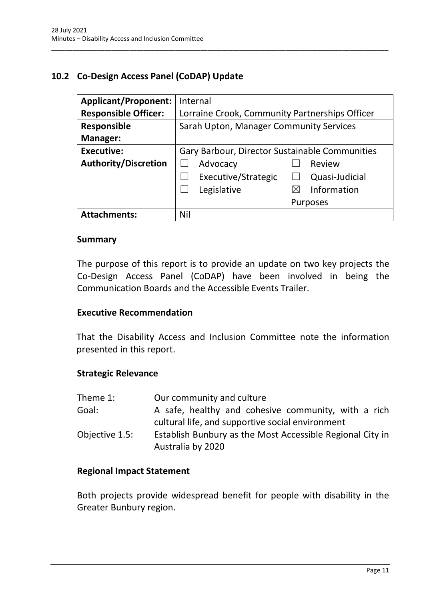# <span id="page-13-0"></span>**10.2 Co-Design Access Panel (CoDAP) Update**

| <b>Applicant/Proponent:</b> | Internal                                       |
|-----------------------------|------------------------------------------------|
| <b>Responsible Officer:</b> | Lorraine Crook, Community Partnerships Officer |
| <b>Responsible</b>          | Sarah Upton, Manager Community Services        |
| <b>Manager:</b>             |                                                |
| <b>Executive:</b>           | Gary Barbour, Director Sustainable Communities |
| <b>Authority/Discretion</b> | Advocacy<br>Review                             |
|                             | Executive/Strategic<br>Quasi-Judicial          |
|                             | Information<br>Legislative<br>⋉                |
|                             | Purposes                                       |
| <b>Attachments:</b>         | Nil                                            |

\_\_\_\_\_\_\_\_\_\_\_\_\_\_\_\_\_\_\_\_\_\_\_\_\_\_\_\_\_\_\_\_\_\_\_\_\_\_\_\_\_\_\_\_\_\_\_\_\_\_\_\_\_\_\_\_\_\_\_\_\_\_\_\_\_\_\_\_\_\_\_\_\_\_\_\_\_\_\_\_\_\_\_\_\_\_\_\_\_\_\_\_\_\_\_

#### **Summary**

The purpose of this report is to provide an update on two key projects the Co-Design Access Panel (CoDAP) have been involved in being the Communication Boards and the Accessible Events Trailer.

#### **Executive Recommendation**

That the Disability Access and Inclusion Committee note the information presented in this report.

#### **Strategic Relevance**

| Theme 1:       | Our community and culture                                                                               |
|----------------|---------------------------------------------------------------------------------------------------------|
| Goal:          | A safe, healthy and cohesive community, with a rich<br>cultural life, and supportive social environment |
| Objective 1.5: | Establish Bunbury as the Most Accessible Regional City in<br>Australia by 2020                          |

#### **Regional Impact Statement**

Both projects provide widespread benefit for people with disability in the Greater Bunbury region.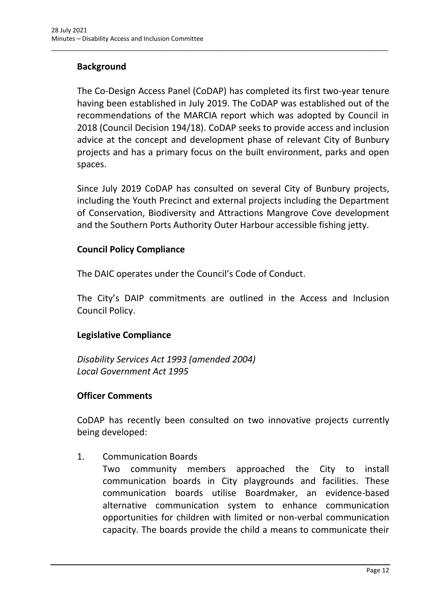# **Background**

The Co-Design Access Panel (CoDAP) has completed its first two-year tenure having been established in July 2019. The CoDAP was established out of the recommendations of the MARCIA report which was adopted by Council in 2018 (Council Decision 194/18). CoDAP seeks to provide access and inclusion advice at the concept and development phase of relevant City of Bunbury projects and has a primary focus on the built environment, parks and open spaces.

\_\_\_\_\_\_\_\_\_\_\_\_\_\_\_\_\_\_\_\_\_\_\_\_\_\_\_\_\_\_\_\_\_\_\_\_\_\_\_\_\_\_\_\_\_\_\_\_\_\_\_\_\_\_\_\_\_\_\_\_\_\_\_\_\_\_\_\_\_\_\_\_\_\_\_\_\_\_\_\_\_\_\_\_\_\_\_\_\_\_\_\_\_\_\_

Since July 2019 CoDAP has consulted on several City of Bunbury projects, including the Youth Precinct and external projects including the Department of Conservation, Biodiversity and Attractions Mangrove Cove development and the Southern Ports Authority Outer Harbour accessible fishing jetty.

#### **Council Policy Compliance**

The DAIC operates under the Council's Code of Conduct.

The City's DAIP commitments are outlined in the Access and Inclusion Council Policy.

## **Legislative Compliance**

*Disability Services Act 1993 (amended 2004) Local Government Act 1995*

## **Officer Comments**

CoDAP has recently been consulted on two innovative projects currently being developed:

1. Communication Boards

Two community members approached the City to install communication boards in City playgrounds and facilities. These communication boards utilise Boardmaker, an evidence-based alternative communication system to enhance communication opportunities for children with limited or non-verbal communication capacity. The boards provide the child a means to communicate their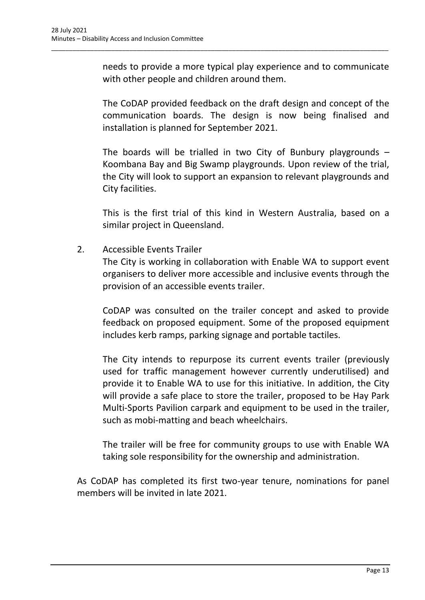needs to provide a more typical play experience and to communicate with other people and children around them.

\_\_\_\_\_\_\_\_\_\_\_\_\_\_\_\_\_\_\_\_\_\_\_\_\_\_\_\_\_\_\_\_\_\_\_\_\_\_\_\_\_\_\_\_\_\_\_\_\_\_\_\_\_\_\_\_\_\_\_\_\_\_\_\_\_\_\_\_\_\_\_\_\_\_\_\_\_\_\_\_\_\_\_\_\_\_\_\_\_\_\_\_\_\_\_

The CoDAP provided feedback on the draft design and concept of the communication boards. The design is now being finalised and installation is planned for September 2021.

The boards will be trialled in two City of Bunbury playgrounds  $-$ Koombana Bay and Big Swamp playgrounds. Upon review of the trial, the City will look to support an expansion to relevant playgrounds and City facilities.

This is the first trial of this kind in Western Australia, based on a similar project in Queensland.

2. Accessible Events Trailer

The City is working in collaboration with Enable WA to support event organisers to deliver more accessible and inclusive events through the provision of an accessible events trailer.

CoDAP was consulted on the trailer concept and asked to provide feedback on proposed equipment. Some of the proposed equipment includes kerb ramps, parking signage and portable tactiles.

The City intends to repurpose its current events trailer (previously used for traffic management however currently underutilised) and provide it to Enable WA to use for this initiative. In addition, the City will provide a safe place to store the trailer, proposed to be Hay Park Multi-Sports Pavilion carpark and equipment to be used in the trailer, such as mobi-matting and beach wheelchairs.

The trailer will be free for community groups to use with Enable WA taking sole responsibility for the ownership and administration.

As CoDAP has completed its first two-year tenure, nominations for panel members will be invited in late 2021.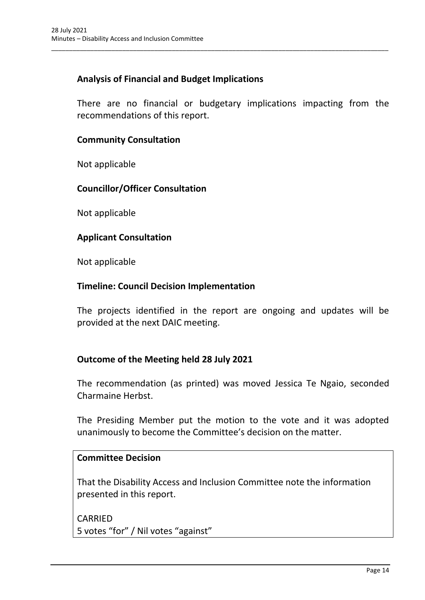## **Analysis of Financial and Budget Implications**

There are no financial or budgetary implications impacting from the recommendations of this report.

\_\_\_\_\_\_\_\_\_\_\_\_\_\_\_\_\_\_\_\_\_\_\_\_\_\_\_\_\_\_\_\_\_\_\_\_\_\_\_\_\_\_\_\_\_\_\_\_\_\_\_\_\_\_\_\_\_\_\_\_\_\_\_\_\_\_\_\_\_\_\_\_\_\_\_\_\_\_\_\_\_\_\_\_\_\_\_\_\_\_\_\_\_\_\_

#### **Community Consultation**

Not applicable

#### **Councillor/Officer Consultation**

Not applicable

#### **Applicant Consultation**

Not applicable

#### **Timeline: Council Decision Implementation**

The projects identified in the report are ongoing and updates will be provided at the next DAIC meeting.

## **Outcome of the Meeting held 28 July 2021**

The recommendation (as printed) was moved Jessica Te Ngaio, seconded Charmaine Herbst.

The Presiding Member put the motion to the vote and it was adopted unanimously to become the Committee's decision on the matter.

#### **Committee Decision**

That the Disability Access and Inclusion Committee note the information presented in this report.

CARRIED 5 votes "for" / Nil votes "against"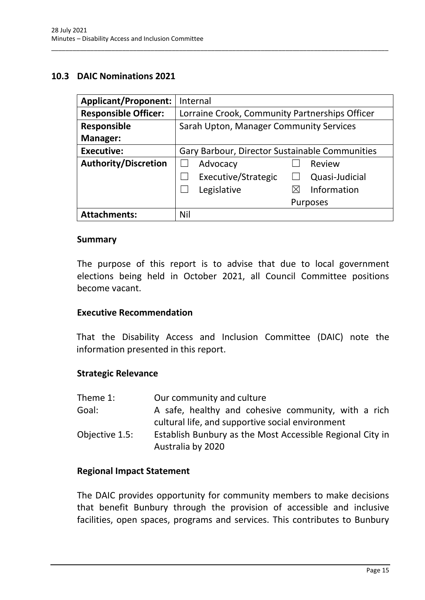#### <span id="page-17-0"></span>**10.3 DAIC Nominations 2021**

| <b>Applicant/Proponent:</b> | Internal                                       |
|-----------------------------|------------------------------------------------|
| <b>Responsible Officer:</b> | Lorraine Crook, Community Partnerships Officer |
| <b>Responsible</b>          | Sarah Upton, Manager Community Services        |
| Manager:                    |                                                |
| <b>Executive:</b>           | Gary Barbour, Director Sustainable Communities |
| <b>Authority/Discretion</b> | Advocacy<br>Review                             |
|                             | Executive/Strategic<br>Quasi-Judicial          |
|                             | Legislative<br>Information                     |
|                             | <b>Purposes</b>                                |
| <b>Attachments:</b>         | Nil                                            |

\_\_\_\_\_\_\_\_\_\_\_\_\_\_\_\_\_\_\_\_\_\_\_\_\_\_\_\_\_\_\_\_\_\_\_\_\_\_\_\_\_\_\_\_\_\_\_\_\_\_\_\_\_\_\_\_\_\_\_\_\_\_\_\_\_\_\_\_\_\_\_\_\_\_\_\_\_\_\_\_\_\_\_\_\_\_\_\_\_\_\_\_\_\_\_

#### **Summary**

The purpose of this report is to advise that due to local government elections being held in October 2021, all Council Committee positions become vacant.

#### **Executive Recommendation**

That the Disability Access and Inclusion Committee (DAIC) note the information presented in this report.

#### **Strategic Relevance**

| Theme 1:       | Our community and culture                                                                               |
|----------------|---------------------------------------------------------------------------------------------------------|
| Goal:          | A safe, healthy and cohesive community, with a rich<br>cultural life, and supportive social environment |
| Objective 1.5: | Establish Bunbury as the Most Accessible Regional City in<br>Australia by 2020                          |

#### **Regional Impact Statement**

The DAIC provides opportunity for community members to make decisions that benefit Bunbury through the provision of accessible and inclusive facilities, open spaces, programs and services. This contributes to Bunbury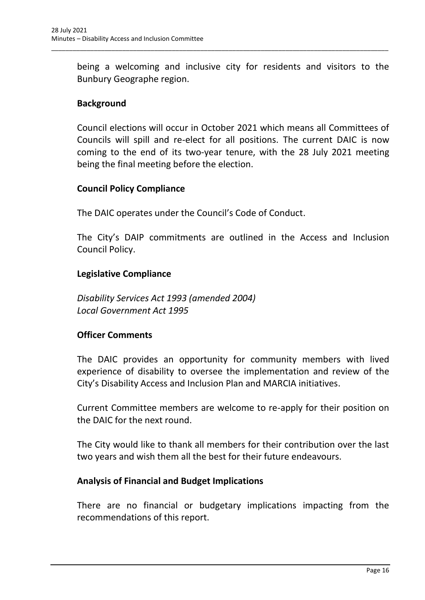being a welcoming and inclusive city for residents and visitors to the Bunbury Geographe region.

\_\_\_\_\_\_\_\_\_\_\_\_\_\_\_\_\_\_\_\_\_\_\_\_\_\_\_\_\_\_\_\_\_\_\_\_\_\_\_\_\_\_\_\_\_\_\_\_\_\_\_\_\_\_\_\_\_\_\_\_\_\_\_\_\_\_\_\_\_\_\_\_\_\_\_\_\_\_\_\_\_\_\_\_\_\_\_\_\_\_\_\_\_\_\_

## **Background**

Council elections will occur in October 2021 which means all Committees of Councils will spill and re-elect for all positions. The current DAIC is now coming to the end of its two-year tenure, with the 28 July 2021 meeting being the final meeting before the election.

## **Council Policy Compliance**

The DAIC operates under the Council's Code of Conduct.

The City's DAIP commitments are outlined in the Access and Inclusion Council Policy.

## **Legislative Compliance**

*Disability Services Act 1993 (amended 2004) Local Government Act 1995*

## **Officer Comments**

The DAIC provides an opportunity for community members with lived experience of disability to oversee the implementation and review of the City's Disability Access and Inclusion Plan and MARCIA initiatives.

Current Committee members are welcome to re-apply for their position on the DAIC for the next round.

The City would like to thank all members for their contribution over the last two years and wish them all the best for their future endeavours.

## **Analysis of Financial and Budget Implications**

There are no financial or budgetary implications impacting from the recommendations of this report.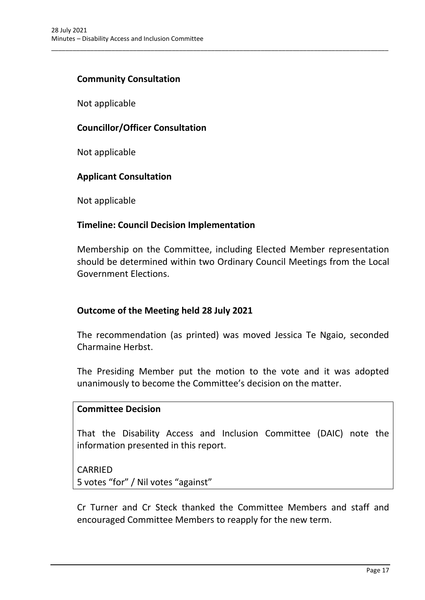#### **Community Consultation**

Not applicable

## **Councillor/Officer Consultation**

Not applicable

#### **Applicant Consultation**

Not applicable

#### **Timeline: Council Decision Implementation**

Membership on the Committee, including Elected Member representation should be determined within two Ordinary Council Meetings from the Local Government Elections.

\_\_\_\_\_\_\_\_\_\_\_\_\_\_\_\_\_\_\_\_\_\_\_\_\_\_\_\_\_\_\_\_\_\_\_\_\_\_\_\_\_\_\_\_\_\_\_\_\_\_\_\_\_\_\_\_\_\_\_\_\_\_\_\_\_\_\_\_\_\_\_\_\_\_\_\_\_\_\_\_\_\_\_\_\_\_\_\_\_\_\_\_\_\_\_

## **Outcome of the Meeting held 28 July 2021**

The recommendation (as printed) was moved Jessica Te Ngaio, seconded Charmaine Herbst.

The Presiding Member put the motion to the vote and it was adopted unanimously to become the Committee's decision on the matter.

#### **Committee Decision**

That the Disability Access and Inclusion Committee (DAIC) note the information presented in this report.

CARRIED

5 votes "for" / Nil votes "against"

Cr Turner and Cr Steck thanked the Committee Members and staff and encouraged Committee Members to reapply for the new term.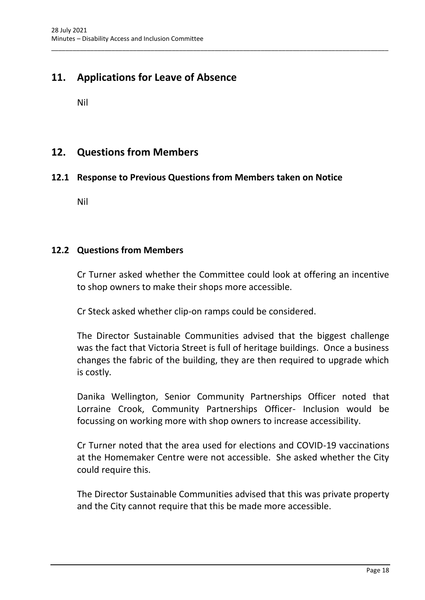# <span id="page-20-0"></span>**11. Applications for Leave of Absence**

Nil

# <span id="page-20-1"></span>**12. Questions from Members**

#### <span id="page-20-2"></span>**12.1 Response to Previous Questions from Members taken on Notice**

\_\_\_\_\_\_\_\_\_\_\_\_\_\_\_\_\_\_\_\_\_\_\_\_\_\_\_\_\_\_\_\_\_\_\_\_\_\_\_\_\_\_\_\_\_\_\_\_\_\_\_\_\_\_\_\_\_\_\_\_\_\_\_\_\_\_\_\_\_\_\_\_\_\_\_\_\_\_\_\_\_\_\_\_\_\_\_\_\_\_\_\_\_\_\_

Nil

#### <span id="page-20-3"></span>**12.2 Questions from Members**

Cr Turner asked whether the Committee could look at offering an incentive to shop owners to make their shops more accessible.

Cr Steck asked whether clip-on ramps could be considered.

The Director Sustainable Communities advised that the biggest challenge was the fact that Victoria Street is full of heritage buildings. Once a business changes the fabric of the building, they are then required to upgrade which is costly.

Danika Wellington, Senior Community Partnerships Officer noted that Lorraine Crook, Community Partnerships Officer- Inclusion would be focussing on working more with shop owners to increase accessibility.

Cr Turner noted that the area used for elections and COVID-19 vaccinations at the Homemaker Centre were not accessible. She asked whether the City could require this.

The Director Sustainable Communities advised that this was private property and the City cannot require that this be made more accessible.